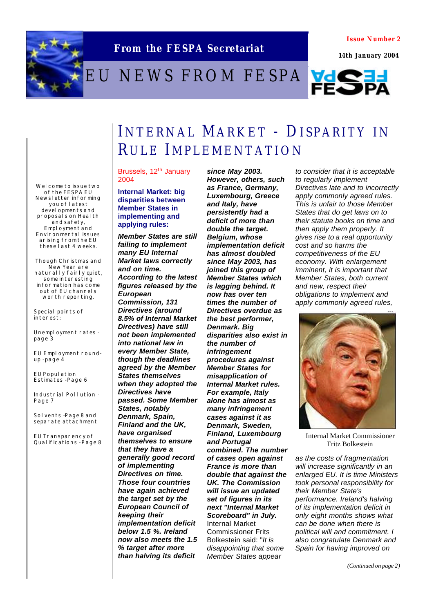

**From the FESPA Secretariat**

### **Issue Number 2**

 **14th January 2004**

# EU NEWS FROM FESPA VESTI



## INTERNAL MARKET - DISPARITY IN RULE IMPLEMENTATION

*since May 2003.* 

**Welcome to issue two of the FESPA EU Newsletter informing you of latest developments and proposals on Health and safety,**  Employment and **Environmental issues arising from the EU these last 4 weeks.**

**Though Christmas and New Year are naturally fairly quiet, some interesting information has come out of EU channels worth reporting.** 

**Special points of interest:**

**Unemployment rates page 3**

**EU Employment roundup - page 4**

**EU Population Estimates - Page 6**

**Industrial Pollution - Page 7**

**Solvents - Page 8 and separate attachment**

**EU Transparency of Qualifications - Page 8** Brussels, 12<sup>th</sup> January 2004

**Internal Market: big disparities between Member States in implementing and applying rules:**

*Member States are still failing to implement many EU Internal Market laws correctly and on time. According to the latest figures released by the European Commission, 131 Directives (around 8.5% of Internal Market Directives) have still not been implemented into national law in every Member State, though the deadlines agreed by the Member States themselves when they adopted the Directives have passed. Some Member States, notably Denmark, Spain, Finland and the UK, have organised themselves to ensure that they have a generally good record of implementing Directives on time. Those four countries have again achieved the target set by the European Council of keeping their implementation deficit below 1.5 %. Ireland now also meets the 1.5 % target after more than halving its deficit* 

*However, others, such as France, Germany, Luxembourg, Greece and Italy, have persistently had a deficit of more than double the target. Belgium, whose implementation deficit has almost doubled since May 2003, has joined this group of Member States which is lagging behind. It now has over ten times the number of Directives overdue as the best performer, Denmark. Big disparities also exist in the number of infringement procedures against Member States for misapplication of Internal Market rules. For example, Italy alone has almost as many infringement cases against it as Denmark, Sweden, Finland, Luxembourg and Portugal combined. The number of cases open against France is more than double that against the UK. The Commission will issue an updated set of figures in its next "Internal Market Scoreboard" in July.* Internal Market Commissioner Frits Bolkestein said: "*It is disappointing that some Member States appear* 

*to consider that it is acceptable to regularly implement Directives late and to incorrectly apply commonly agreed rules. This is unfair to those Member States that do get laws on to their statute books on time and then apply them properly. It gives rise to a real opportunity cost and so harms the competitiveness of the EU economy. With enlargement imminent, it is important that Member States, both current and new, respect their obligations to implement and apply commonly agreed rules,* 



Internal Market Commissioner Fritz Bolkestein

*as the costs of fragmentation will increase significantly in an enlarged EU. It is time Ministers took personal responsibility for their Member State's performance. Ireland's halving of its implementation deficit in only eight months shows what can be done when there is political will and commitment. I also congratulate Denmark and Spain for having improved on* 

*(Continued on page 2)*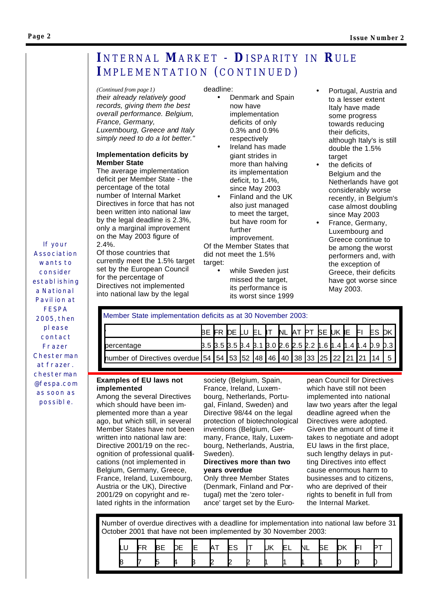### **Page 2**

### **I**NTERNAL **MARKET** - **D**ISPARITY IN **R**ULE **IMPLEMENTATION (CONTINUED)**

### *(Continued from page 1)*

*their already relatively good records, giving them the best overall performance. Belgium, France, Germany,* 

*Luxembourg, Greece and Italy simply need to do a lot better."* 

### **Implementation deficits by Member State**

The average implementation deficit per Member State - the percentage of the total number of Internal Market Directives in force that has not been written into national law by the legal deadline is 2.3%, only a marginal improvement on the May 2003 figure of 2.4%.

Of those countries that currently meet the 1.5% target set by the European Council for the percentage of Directives not implemented into national law by the legal

### deadline:

- Denmark and Spain now have implementation deficits of only 0.3% and 0.9% respectively
- Ireland has made giant strides in more than halving its implementation deficit, to 1.4%, since May 2003
- Finland and the UK also just managed to meet the target, but have room for further improvement.

Of the Member States that did not meet the 1.5% target:

while Sweden just missed the target, its performance is its worst since 1999

- Portugal, Austria and to a lesser extent Italy have made some progress towards reducing their deficits, although Italy's is still double the 1.5% target
- the deficits of Belgium and the Netherlands have got considerably worse recently, in Belgium's case almost doubling since May 2003
- France, Germany, Luxembourg and Greece continue to be among the worst performers and, with the exception of Greece, their deficits have got worse since May 2003.

*Association wants to consider establishing a National Pavilion at FESPA 2005, then please contact Frazer Chesterman at frazer. chesterman @fespa.com as soon as possible.*

*If your* 

| Member State implementation deficits as at 30 November 2003:             |  |  |  |  |  |  |  |  |  |  |  |  |  |                                               |
|--------------------------------------------------------------------------|--|--|--|--|--|--|--|--|--|--|--|--|--|-----------------------------------------------|
|                                                                          |  |  |  |  |  |  |  |  |  |  |  |  |  | BE FR DE LU EL IT NL AT PT BE UK E FI ES DK   |
| percentage                                                               |  |  |  |  |  |  |  |  |  |  |  |  |  | $3.53.53.53.43.13.02.62.52.161.41.41.49.90.3$ |
| number of Directives overdue 54 54 53 52 48 46 40 38 33 25 22 21 21 14 5 |  |  |  |  |  |  |  |  |  |  |  |  |  |                                               |

### **Examples of EU laws not implemented**

Among the several Directives which should have been implemented more than a year ago, but which still, in several Member States have not been written into national law are: Directive 2001/19 on the recognition of professional qualifications (not implemented in Belgium, Germany, Greece, France, Ireland, Luxembourg, Austria or the UK), Directive 2001/29 on copyright and related rights in the information

society (Belgium, Spain, France, Ireland, Luxembourg, Netherlands, Portugal, Finland, Sweden) and Directive 98/44 on the legal protection of biotechnological inventions (Belgium, Germany, France, Italy, Luxembourg, Netherlands, Austria, Sweden).

### **Directives more than two years overdue**

Only three Member States (Denmark, Finland and Portugal) met the 'zero tolerance' target set by the European Council for Directives which have still not been implemented into national law two years after the legal deadline agreed when the Directives were adopted. Given the amount of time it takes to negotiate and adopt EU laws in the first place, such lengthy delays in putting Directives into effect cause enormous harm to businesses and to citizens, who are deprived of their rights to benefit in full from the Internal Market.

Number of overdue directives with a deadline for implementation into national law before 31 October 2001 that have not been implemented by 30 November 2003:

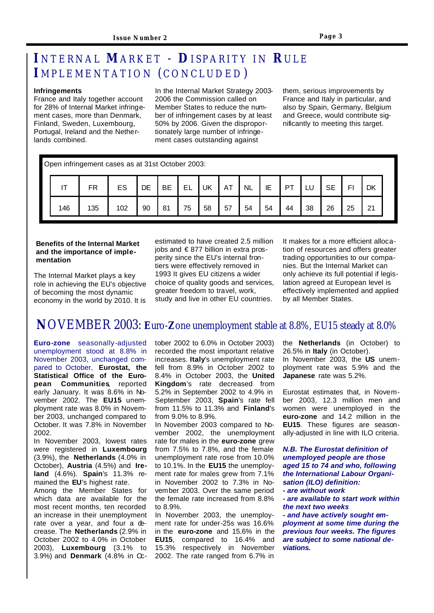### **I**NTERNAL **MARKET** - **D**ISPARITY IN **RULE I** MPLEMENTATION (CONCLUDED )

### **Infringements**

France and Italy together account for 28% of Internal Market infringement cases, more than Denmark, Finland, Sweden, Luxembourg, Portugal, Ireland and the Netherlands combined.

In the Internal Market Strategy 2003- 2006 the Commission called on Member States to reduce the number of infringement cases by at least 50% by 2006. Given the disproportionately large number of infringement cases outstanding against

them, serious improvements by France and Italy in particular, and also by Spain, Germany, Belgium and Greece, would contribute significantly to meeting this target.

| Open infringement cases as at 31st October 2003: |  |
|--------------------------------------------------|--|
|--------------------------------------------------|--|

|     | FR  | ES  | DE | BE | FΙ<br>— — | UK | AT | NL | IE | ÞТ | ∟ບ | $\sim$ $\sim$<br>◡└ | ы  | DK                   |
|-----|-----|-----|----|----|-----------|----|----|----|----|----|----|---------------------|----|----------------------|
| 146 | 135 | 102 | 90 | 81 | 75        | 58 | 57 | 54 | 54 | 44 | 38 | 26                  | 25 | $\Omega$<br><u>_</u> |

#### **Benefits of the Internal Market and the importance of implementation**

The Internal Market plays a key role in achieving the EU's objective of becoming the most dynamic economy in the world by 2010. It is

estimated to have created 2.5 million jobs and € 877 billion in extra prosperity since the EU's internal frontiers were effectively removed in 1993 It gives EU citizens a wider choice of quality goods and services, greater freedom to travel, work, study and live in other EU countries.

It makes for a more efficient allocation of resources and offers greater trading opportunities to our companies. But the Internal Market can only achieve its full potential if legislation agreed at European level is effectively implemented and applied by all Member States.

### **N**OVEMBER 2003: **E**uro-**Z**one unemployment stable at 8.8%, EU15 steady at 8.0%

**Euro-zone** seasonally-adjusted unemployment stood at 8.8% in November 2003, unchanged compared to October, **Eurostat, the Statistical Office of the European Communities**, reported early January. It was 8.6% in November 2002. The **EU15** unemployment rate was 8.0% in November 2003, unchanged compared to October. It was 7.8% in November 2002.

In November 2003, lowest rates were registered in **Luxembourg** (3.9%), the **Netherlands** (4.0% in October), **Austria** (4.5%) and **Ireland** (4.6%). **Spain**'s 11.3% remained the **EU**'s highest rate. Among the Member States for which data are available for the most recent months, ten recorded an increase in their unemployment rate over a year, and four a decrease. The **Netherlands** (2.9% in October 2002 to 4.0% in October 2003), **Luxembourg** (3.1% to 3.9%) and **Denmark** (4.8% in October 2002 to 6.0% in October 2003) recorded the most important relative increases. **Italy**'s unemployment rate fell from 8.9% in October 2002 to 8.4% in October 2003, the **United Kingdom**'s rate decreased from 5.2% in September 2002 to 4.9% in September 2003, **Spain**'s rate fell from 11.5% to 11.3% and **Finland**'s from 9.0% to 8.9%.

In November 2003 compared to November 2002, the unemployment rate for males in the **euro-zone** grew from 7.5% to 7.8%, and the female unemployment rate rose from 10.0% to 10.1%. In the **EU15** the unemployment rate for males grew from 7.1% in November 2002 to 7.3% in November 2003. Over the same period the female rate increased from 8.8% to 8.9%.

In November 2003, the unemployment rate for under-25s was 16.6% in the **euro-zone** and 15.6% in the **EU15**, compared to 16.4% and 15.3% respectively in November 2002. The rate ranged from 6.7% in

the **Netherlands** (in October) to 26.5% in **Italy** (in October). In November 2003, the **US** unemployment rate was 5.9% and the **Japanese** rate was 5.2%.

Eurostat estimates that, in November 2003, 12.3 million men and women were unemployed in the **euro-zone** and 14.2 million in the **EU15**. These figures are seasonally-adjusted in line with ILO criteria.

*N.B. The Eurostat definition of unemployed people are those aged 15 to 74 and who, following the International Labour Organisation (ILO) definition: - are without work - are available to start work within the next two weeks - and have actively sought employment at some time during the previous four weeks. The figures are subject to some national deviations.*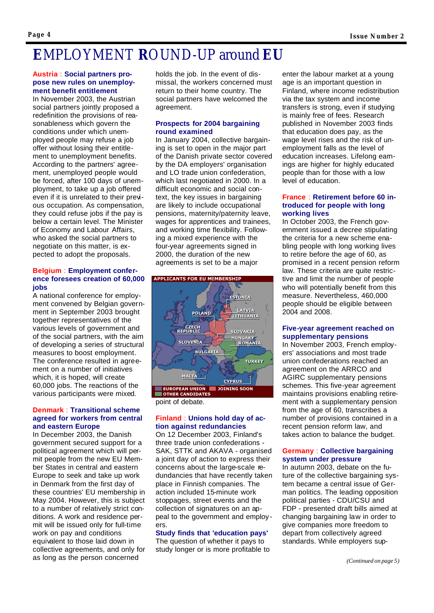## **E**MPLOYMENT **R**OUND-UP around **EU**

### **Austria** : **Social partners propose new rules on unemployment benefit entitlement**

In November 2003, the Austrian social partners jointly proposed a redefinition the provisions of reasonableness which govern the conditions under which unemployed people may refuse a job offer without losing their entitlement to unemployment benefits. According to the partners' agreement, unemployed people would be forced, after 100 days of unemployment, to take up a job offered even if it is unrelated to their previous occupation. As compensation, they could refuse jobs if the pay is below a certain level. The Minister of Economy and Labour Affairs, who asked the social partners to negotiate on this matter, is expected to adopt the proposals.

### **Belgium** : **Employment conference foresees creation of 60,000 jobs**

A national conference for employment convened by Belgian government in September 2003 brought together representatives of the various levels of government and of the social partners, with the aim of developing a series of structural measures to boost employment. The conference resulted in agreement on a number of initiatives which, it is hoped, will create 60,000 jobs. The reactions of the various participants were mixed.

### **Denmark** : **Transitional scheme agreed for workers from central and eastern Europe**

In December 2003, the Danish government secured support for a political agreement which will permit people from the new EU Member States in central and eastern Europe to seek and take up work in Denmark from the first day of these countries' EU membership in May 2004. However, this is subject to a number of relatively strict conditions. A work and residence permit will be issued only for full-time work on pay and conditions equivalent to those laid down in collective agreements, and only for as long as the person concerned

holds the job. In the event of dismissal, the workers concerned must return to their home country. The social partners have welcomed the agreement.

### **Prospects for 2004 bargaining round examined**

In January 2004, collective bargaining is set to open in the major part of the Danish private sector covered by the DA employers' organisation and LO trade union confederation, which last negotiated in 2000. In a difficult economic and social context, the key issues in bargaining are likely to include occupational pensions, maternity/paternity leave, wages for apprentices and trainees, and working time flexibility. Following a mixed experience with the four-year agreements signed in 2000, the duration of the new agreements is set to be a major



point of debate.

### **Finland** : **Unions hold day of action against redundancies**

On 12 December 2003, Finland's three trade union confederations - SAK, STTK and AKAVA - organised a joint day of action to express their concerns about the large-scale redundancies that have recently taken place in Finnish companies. The action included 15-minute work stoppages, street events and the collection of signatures on an appeal to the government and employers.

### **Study finds that 'education pays'**

The question of whether it pays to study longer or is more profitable to enter the labour market at a young age is an important question in Finland, where income redistribution via the tax system and income transfers is strong, even if studying is mainly free of fees. Research published in November 2003 finds that education does pay, as the wage level rises and the risk of unemployment falls as the level of education increases. Lifelong earnings are higher for highly educated people than for those with a low level of education.

### **France** : **Retirement before 60 introduced for people with long working lives**

In October 2003, the French government issued a decree stipulating the criteria for a new scheme enabling people with long working lives to retire before the age of 60, as promised in a recent pension reform law. These criteria are quite restrictive and limit the number of people who will potentially benefit from this measure. Nevertheless, 460,000 people should be eligible between 2004 and 2008.

### **Five-year agreement reached on supplementary pensions**

In November 2003, French employers' associations and most trade union confederations reached an agreement on the ARRCO and AGIRC supplementary pensions schemes. This five-year agreement maintains provisions enabling retirement with a supplementary pension from the age of 60, transcribes a number of provisions contained in a recent pension reform law, and takes action to balance the budget.

### **Germany** : **Collective bargaining system under pressure**

In autumn 2003, debate on the future of the collective bargaining system became a central issue of German politics. The leading opposition political parties - CDU/CSU and FDP - presented draft bills aimed at changing bargaining law in order to give companies more freedom to depart from collectively agreed standards. While employers sup-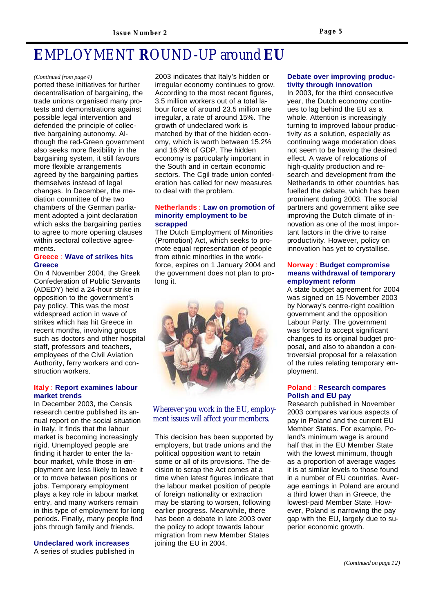## **E**MPLOYMENT **R**OUND-UP around **EU**

#### *(Continued from page 4)*

ported these initiatives for further decentralisation of bargaining, the trade unions organised many protests and demonstrations against possible legal intervention and defended the principle of collective bargaining autonomy. Although the red-Green government also seeks more flexibility in the bargaining system, it still favours more flexible arrangements agreed by the bargaining parties themselves instead of legal changes. In December, the mediation committee of the two chambers of the German parliament adopted a joint declaration which asks the bargaining parties to agree to more opening clauses within sectoral collective agreements.

### **Greece** : **Wave of strikes hits Greece**

On 4 November 2004, the Greek Confederation of Public Servants (ADEDY) held a 24-hour strike in opposition to the government's pay policy. This was the most widespread action in wave of strikes which has hit Greece in recent months, involving groups such as doctors and other hospital staff, professors and teachers, employees of the Civil Aviation Authority, ferry workers and construction workers.

### **Italy** : **Report examines labour market trends**

In December 2003, the Censis research centre published its annual report on the social situation in Italy. It finds that the labour market is becoming increasingly rigid. Unemployed people are finding it harder to enter the labour market, while those in employment are less likely to leave it or to move between positions or jobs. Temporary employment plays a key role in labour market entry, and many workers remain in this type of employment for long periods. Finally, many people find jobs through family and friends.

### **Undeclared work increases**

A series of studies published in

2003 indicates that Italy's hidden or irregular economy continues to grow. According to the most recent figures, 3.5 million workers out of a total labour force of around 23.5 million are irregular, a rate of around 15%. The growth of undeclared work is matched by that of the hidden economy, which is worth between 15.2% and 16.9% of GDP. The hidden economy is particularly important in the South and in certain economic sectors. The Cgil trade union confederation has called for new measures to deal with the problem.

### **Netherlands** : **Law on promotion of minority employment to be scrapped**

The Dutch Employment of Minorities (Promotion) Act, which seeks to promote equal representation of people from ethnic minorities in the workforce, expires on 1 January 2004 and the government does not plan to prolong it.



### Wherever you work in the EU, employment issues will affect your members.

This decision has been supported by employers, but trade unions and the political opposition want to retain some or all of its provisions. The decision to scrap the Act comes at a time when latest figures indicate that the labour market position of people of foreign nationality or extraction may be starting to worsen, following earlier progress. Meanwhile, there has been a debate in late 2003 over the policy to adopt towards labour migration from new Member States joining the EU in 2004.

### **Debate over improving productivity through innovation**

In 2003, for the third consecutive year, the Dutch economy continues to lag behind the EU as a whole. Attention is increasingly turning to improved labour productivity as a solution, especially as continuing wage moderation does not seem to be having the desired effect. A wave of relocations of high-quality production and research and development from the Netherlands to other countries has fuelled the debate, which has been prominent during 2003. The social partners and government alike see improving the Dutch climate of innovation as one of the most important factors in the drive to raise productivity. However, policy on innovation has yet to crystallise.

### **Norway** : **Budget compromise means withdrawal of temporary employment reform**

A state budget agreement for 2004 was signed on 15 November 2003 by Norway's centre-right coalition government and the opposition Labour Party. The government was forced to accept significant changes to its original budget proposal, and also to abandon a controversial proposal for a relaxation of the rules relating temporary employment.

### **Poland** : **Research compares Polish and EU pay**

Research published in November 2003 compares various aspects of pay in Poland and the current EU Member States. For example, Poland's minimum wage is around half that in the EU Member State with the lowest minimum, though as a proportion of average wages it is at similar levels to those found in a number of EU countries. Average earnings in Poland are around a third lower than in Greece, the lowest-paid Member State. However, Poland is narrowing the pay gap with the EU, largely due to superior economic growth.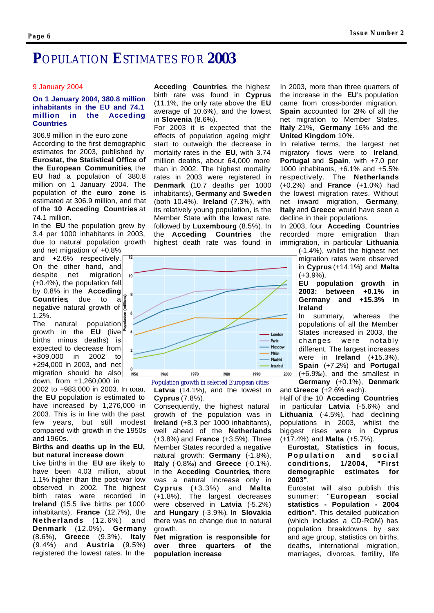### **P**OPULATION **E**STIMATES FOR **2003**

10

#### 9 January 2004

### **On 1 January 2004, 380.8 million inhabitants in the EU and 74.1 million in the Acceding Countries**

306.9 million in the euro zone According to the first demographic estimates for 2003, published by **Eurostat, the Statistical Office of the European Communities**, the **EU** had a population of 380.8 million on 1 January 2004. The population of the **euro zone** is estimated at 306.9 million, and that of the **10 Acceding Countries** at 74.1 million.

In the **EU** the population grew by 3.4 per 1000 inhabitants in 2003, due to natural population growth

and net migration of +0.8% and +2.6% respectively. On the other hand, and despite net migration (+0.4%), the population fell by 0.8% in the **Acceding Countries**, due to a negative natural growth of 1.2%.

The natural population growth in the **EU** (live births minus deaths) is expected to decrease from +309,000 in 2002 to +294,000 in 2003, and net migration should be also down, from +1,260,000 in

2002 to +983,000 in 2003. In total, the **EU** population is estimated to have increased by 1,276,000 in 2003. This is in line with the past few years, but still modest compared with growth in the 1950s and 1960s.

#### **Births and deaths up in the EU, but natural increase down**

Live births in the **EU** are likely to have been 4.03 million, about 1.1% higher than the post-war low observed in 2002. The highest birth rates were recorded in **Ireland** (15.5 live births per 1000 inhabitants), **France** (12.7%), the **Netherlands** (12.6%) and **Denmark** (12.0%). **Germany** (8.6%), **Greece** (9.3%), **Italy** (9.4%) and **Austria** (9.5%) registered the lowest rates. In the

**Acceding Countries**, the highest birth rate was found in **Cyprus** (11.1%, the only rate above the **EU** average of 10.6%), and the lowest in **Slovenia** (8.6%).

For 2003 it is expected that the effects of population ageing might start to outweigh the decrease in mortality rates in the **EU**, with 3.74 million deaths, about 64,000 more than in 2002. The highest mortality rates in 2003 were registered in **Denmark** (10.7 deaths per 1000 inhabitants), **Germany** and **Sweden** (both 10.4%). **Ireland** (7.3%), with its relatively young population, is the Member State with the lowest rate, followed by **Luxembourg** (8.5%). In the **Acceding Countries**, the highest death rate was found in



**Latvia** (14.1%), and the lowest in **Cyprus** (7.8%). Population growth in selected European cities

Consequently, the highest natural growth of the population was in **Ireland** (+8.3 per 1000 inhabitants), well ahead of the **Netherlands** (+3.8%) and **France** (+3.5%). Three Member States recorded a negative natural growth: **Germany** (-1.8%), **Italy** (-0.8‰) and **Greece** (-0.1%). In the **Acceding Countries**, there was a natural increase only in **Cyprus** (+3.3%) and **Malta** (+1.8%). The largest decreases were observed in **Latvia** (-5.2%) and **Hungary** (-3.9%). In **Slovakia** there was no change due to natural growth.

**Net migration is responsible for over three quarters of the population increase**

In 2003, more than three quarters of the increase in the **EU**'s population came from cross-border migration. **Spain** accounted for 23% of all the net migration to Member States, **Italy** 21%, **Germany** 16% and the **United Kingdom** 10%.

In relative terms, the largest net migratory flows were to **Ireland**, **Portugal** and **Spain**, with +7.0 per 1000 inhabitants, +6.1% and +5.5% respectively. The **Netherlands** (+0.2%) and **France** (+1.0%) had the lowest migration rates. Without net inward migration, **Germany**, **Italy** and **Greece** would have seen a decline in their populations.

In 2003, four **Acceding Countries** recorded more emigration than immigration, in particular **Lithuania**

> (-1.4%), whilst the highest net migration rates were observed in **Cyprus** (+14.1%) and **Malta** (+3.9%).

> **EU population growth in 2003: between +0.1% in Germany and +15.3% in Ireland**

> In summary, whereas the populations of all the Member States increased in 2003, the changes were notably different. The largest increases were in **Ireland** (+15.3%), **Spain** (+7.2%) and **Portugal**  $(1+6.9\%)$ , and the smallest in **Germany** (+0.1%), **Denmark**

and **Greece** (+2.6% each). Half of the 10 **Acceding Countries**, in particular **Latvia** (-5.6%) and **Lithuania** (-4.5%), had declining populations in 2003, whilst the biggest rises were in **Cyprus** (+17.4%) and **Malta** (+5.7%).

**Eurostat, Statistics in focus, Population and social conditions, 1/2004, "First demographic estimates for 2003"**.

Eurostat will also publish this summer: "**European social statistics - Population - 2004 edition**". This detailed publication (which includes a CD-ROM) has population breakdowns by sex and age group, statistics on births, deaths, international migration, marriages, divorces, fertility, life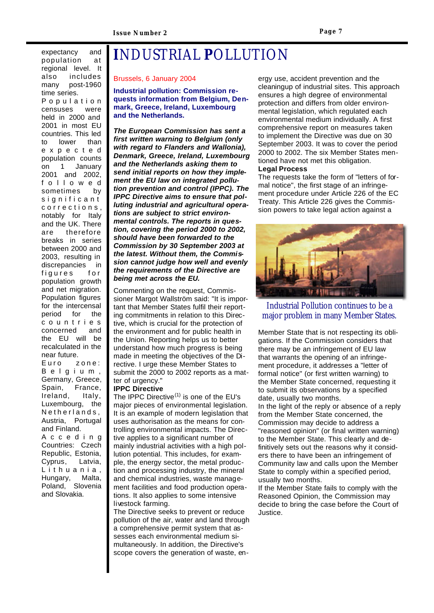expectancy and population at regional level. It also includes many post-1960 time series. Populatio n censuses were held in 2000 and 2001 in most EU countries. This led to lower than expecte d population counts on 1 January 2001 and 2002, followe d sometimes by significant corrections , notably for Italy and the UK. There are therefore breaks in series between 2000 and 2003, resulting in discrepancies in figures for population growth and net migration. Population figures for the intercensal period for the countrie s concerned and the EU will be recalculated in the near future. Euro zone: Belgium , Germany, Greece, Spain, France, Ireland, Italy, Luxembourg, the Netherlands, Austria, Portugal and Finland. Accedin g Countries: Czech Republic, Estonia, Cyprus, Latvia, Lithuania , Hungary, Malta, Poland, Slovenia and Slovakia.

## **I**NDUSTRIAL **P**OLLUTION

#### Brussels, 6 January 2004

**Industrial pollution: Commission requests information from Belgium, Denmark, Greece, Ireland, Luxembourg and the Netherlands.**

*The European Commission has sent a first written warning to Belgium (only with regard to Flanders and Wallonia), Denmark, Greece, Ireland, Luxembourg and the Netherlands asking them to send initial reports on how they implement the EU law on integrated pollution prevention and control (IPPC). The IPPC Directive aims to ensure that polluting industrial and agricultural operations are subject to strict environmental controls. The reports in question, covering the period 2000 to 2002, should have been forwarded to the Commission by 30 September 2003 at the latest. Without them, the Commission cannot judge how well and evenly the requirements of the Directive are being met across the EU.*

Commenting on the request, Commissioner Margot Wallström said: "It is important that Member States fulfil their reporting commitments in relation to this Directive, which is crucial for the protection of the environment and for public health in the Union. Reporting helps us to better understand how much progress is being made in meeting the objectives of the Directive. I urge these Member States to submit the 2000 to 2002 reports as a matter of urgency."

### **IPPC Directive**

The IPPC Directive $(1)$  is one of the EU's major pieces of environmental legislation. It is an example of modern legislation that uses authorisation as the means for controlling environmental impacts. The Directive applies to a significant number of mainly industrial activities with a high pollution potential. This includes, for example, the energy sector, the metal production and processing industry, the mineral and chemical industries, waste management facilities and food production operations. It also applies to some intensive livestock farming.

The Directive seeks to prevent or reduce pollution of the air, water and land through a comprehensive permit system that assesses each environmental medium simultaneously. In addition, the Directive's scope covers the generation of waste, energy use, accident prevention and the cleaningup of industrial sites. This approach ensures a high degree of environmental protection and differs from older environmental legislation, which regulated each environmental medium individually. A first comprehensive report on measures taken to implement the Directive was due on 30 September 2003. It was to cover the period 2000 to 2002. The six Member States mentioned have not met this obligation. **Legal Process**

The requests take the form of "letters of formal notice", the first stage of an infringement procedure under Article 226 of the EC Treaty. This Article 226 gives the Commission powers to take legal action against a



### Industrial Pollution continues to be a major problem in many Member States.

Member State that is not respecting its obligations. If the Commission considers that there may be an infringement of EU law that warrants the opening of an infringement procedure, it addresses a "letter of formal notice" (or first written warning) to the Member State concerned, requesting it to submit its observations by a specified date, usually two months.

In the light of the reply or absence of a reply from the Member State concerned, the Commission may decide to address a "reasoned opinion" (or final written warning) to the Member State. This clearly and definitively sets out the reasons why it considers there to have been an infringement of Community law and calls upon the Member State to comply within a specified period, usually two months.

If the Member State fails to comply with the Reasoned Opinion, the Commission may decide to bring the case before the Court of Justice.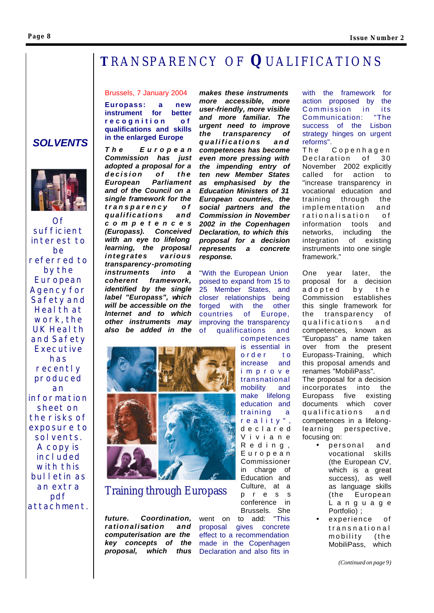### **Page 8**

### **T**RANSPARENCY O F **Q**UALIFICATIONS

*response.*

"With the European Union poised to expand from 15 to 25 Member States, and closer relationships being forged with the other countries of Europe, improving the transparency of qualifications and

*makes these instruments more accessible, more user-friendly, more visible and more familiar. The urgent need to improve the transparency of qualifications and competences has become even more pressing with the impending entry of ten new Member States as emphasised by the Education Ministers of 31 European countries, the social partners and the Commission in November 2002 in the Copenhagen Declaration, to which this proposal for a decision represents a concrete*

### Brussels, 7 January 2004

**Europass: a new instrument for better recognition of qualifications and skills in the enlarged Europe**

*The Europea n Commission has just adopted a proposal for a decision of the European Parliament and of the Council on a single framework for the transparency of qualifications and competence s (Europass). Conceived with an eye to lifelong learning, the proposal integrates various transparency-promoting instruments into a coherent framework, identified by the single label "Europass", which will be accessible on the Internet and to which other instruments may also be added in the*



Training through Europass

*future. Coordination, rationalisation and computerisation are the key concepts of the proposal, which thus*

Brussels. She<br>o add: "This went on to add: proposal gives concrete effect to a recommendation made in the Copenhagen Declaration and also fits in

pre s s conference in with the framework for action proposed by the Commission in its Communication: success of the Lisbon strategy hinges on urgent reforms".

The Copenhagen Declaration of 30 November 2002 explicitly called for action to "increase transparency in vocational education and training through the implementation and rationalisation of information tools and networks, including the integration of existing instruments into one single framework."

One year later, the proposal for a decision adopted by the Commission establishes this single framework for the transparency of qualifications and competences, known as "Europass" a name taken over from the present Europass-Training, which this proposal amends and renames "MobiliPass". The proposal for a decision incorporates into the Europass five existing documents which cover qualifications and competences in a lifelonglearning perspective, focusing on:

- personal and vocational skills (the European CV, which is a great success), as well as language skills (the European Languag e Portfolio) ;
- experience of transnational mobility (the MobiliPass, which

*(Continued on page 9)*

 *SOLVENTS*



 $\Omega f$ 

*sufficient interest to be referred to by the European Agency for Safety and Health at work, the UK Health and Safety Executive has recently produced an information sheet on the risks of exposure to solvents. A copy is included with this bulletin as an extra pdf attachment.*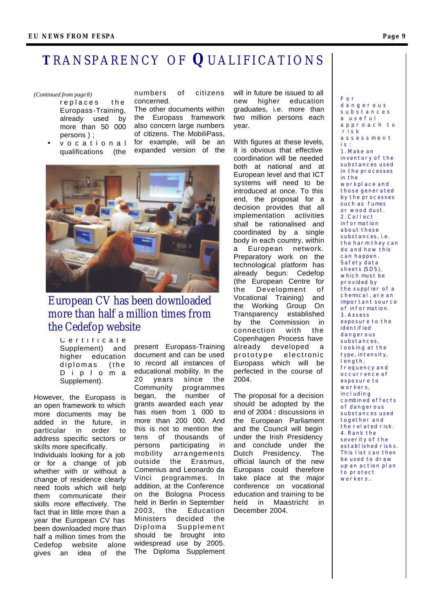### **T**RANSPARENCY O F **Q**UALIFICATIONS

#### *(Continued from page 8)*

- replaces the Europass -Training, already used by more than 50 000 persons ) ;
- vocationa l qualifications (the

numbers of citizens concerned.

The other documents within the Europass framework also concern large numbers of citizens. The MobiliPass, for example, will be an expanded version of the



### European CV has been downloaded more than half a million times from the Cedefop website

Certificat e Supplement) and higher education diplomas (the Diplom a Supplement).

However, the Europass is an open framework to which more documents may be added in the future, in particular in order to address specific sectors or skills more specifically. Individuals looking for a job or for a change of job whether with or without a change of residence clearly need tools which will help them communicate their skills more effectively. The fact that in little more than a year the European CV has been downloaded more than half a million times from the Cedefop website alone gives an idea of the

present Europass-Training document and can be used to record all instances of educational mobility. In the 20 years since the Community programmes began, the number of grants awarded each year has risen from 1 000 to more than 200 000. And this is not to mention the tens of thousands of persons participating in mobility arra ngements outside the Erasmus, Comenius and Leonardo da Vinci programmes. In addition, at the Conference on the Bologna Process held in Berlin in September 2003, the Education Ministers decided the Diploma Supplement should be brought into widespread use by 2005. The Diploma Supplement

will in future be issued to all new higher education graduates, i.e. more than two million persons each year.

With figures at these levels, it is obvious that effective coordination will be needed both at national and at European level and that ICT systems will need to be introduced at once. To this end, the proposal for a decision provides that all implementation activities shall be rationalised and coordinated by a single body in each country, within a European network. Preparatory work on the technological platform has already begun: Cedefop (the European Centre for the Development of Vocational Training) and the Working Group On Transparency established by the Commission in connection with the Copenhagen Process have already developed a prototype electronic Europass which will be perfected in the course of 2004.

The proposal for a decision should be adopted by the end of 2004 : discussions in the European Parliament and the Council will begin under the Irish Presidency and conclude under the Dutch Presidency. The official launch of the new Europass could therefore take place at the major conference on vocational education and training to be held in Maastricht in December 2004.

**F o r d a n g e r o u s s u b s t a n c e s a u s e f u l a p p r o a c h t o r i s k a s s e s s m e n t i s : 1. Make an inventory of the substances used in the processes in the workplace and those generated by the processes such as fumes or wood dust. 2. Collect information about these substances, i.e. the harm they can do and how this can happen. Safety data sheets (SDS), which must be provided by the supplier of a chemical, are an important source of information. 3. Assess exposure to the identified dangerous substances, looking at the type, intensity, length, frequency and occurrence of exposure to workers, including combined effects of dangerous substances used together and the related risk. 4. Rank the severity of the established risks. This list can then** 

**be used to draw up an action plan to protect workers.***.*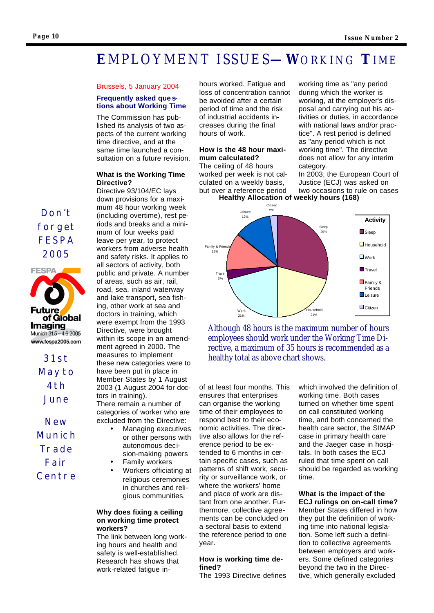## **E**MPLOYMENT ISSUES**—W**ORKING **T**IME

### Brussels, 5 January 2004

### **Frequently asked que stions about Working Time**

The Commission has published its analysis of two aspects of the current working time directive, and at the same time launched a consultation on a future revision.

### **What is the Working Time Directive?**

Directive 93/104/EC lays down provisions for a maximum 48 hour working week (including overtime), rest periods and breaks and a minimum of four weeks paid leave per year, to protect workers from adverse health and safety risks. It applies to all sectors of activity, both public and private. A number of areas, such as air, rail, road, sea, inland waterway and lake transport, sea fishing, other work at sea and doctors in training, which were exempt from the 1993 Directive, were brought within its scope in an amendment agreed in 2000. The measures to implement these new categories were to have been put in place in Member States by 1 August 2003 (1 August 2004 for doctors in training). There remain a number of

categories of worker who are excluded from the Directive: • Managing executives

- or other persons with autonomous decision-making powers
- Family workers
- Workers officiating at religious ceremonies in churches and religious communities.

### **Why does fixing a ceiling on working time protect workers?**

The link between long working hours and health and safety is well-established. Research has shows that work -related fatigue inhours worked. Fatigue and loss of concentration cannot be avoided after a certain period of time and the risk of industrial accidents increases during the final hours of work.

### **How is the 48 hour maximum calculated?**

The ceiling of 48 hours worked per week is not calculated on a weekly basis, but over a reference period working time as "any period during which the worker is working, at the employer's disposal and carrying out his activities or duties, in accordance with national laws and/or practice". A rest period is defined as "any period which is not working time". The directive does not allow for any interim category.

In 2003, the European Court of Justice (ECJ) was asked on two occasions to rule on cases **Healthy Allocation of weekly hours (168)**



Although 48 hours is the maximum number of hours employees should work under the Working Time Directive, a maximum of 35 hours is recommended as a healthy total as above chart shows.

of at least four months. This ensures that enterprises can organise the working time of their employees to respond best to their economic activities. The directive also allows for the reference period to be extended to 6 months in certain specific cases, such as patterns of shift work, security or surveillance work, or where the workers' home and place of work are distant from one another. Furthermore, collective agreements can be concluded on a sectoral basis to extend the reference period to one year.

### **How is working time defined?**

The 1993 Directive defines

which involved the definition of working time. Both cases turned on whether time spent on call constituted working time, and both concerned the health care sector, the SIMAP case in primary health care and the Jaeger case in hospitals. In both cases the ECJ ruled that time spent on call should be regarded as working time.

### **What is the impact of the ECJ rulings on on-call time?**

Member States differed in how they put the definition of working time into national legislation. Some left such a definition to collective agreements between employers and workers. Some defined categories beyond the two in the Directive, which generally excluded

### *Don't forget FESPA 2005*



*31st May to 4th June*

*New Munich Trade Fair Centre*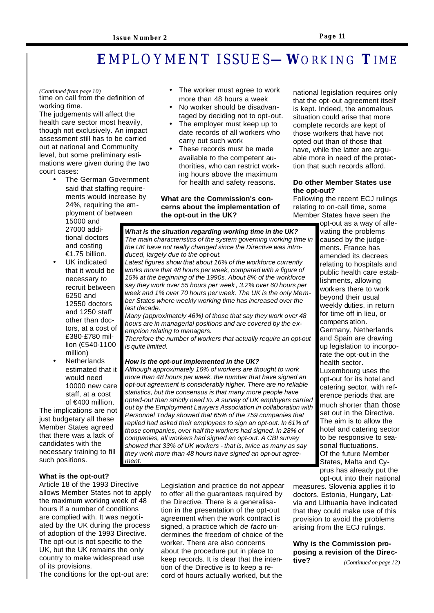## **E**MPLOYMENT ISSUES**—W**ORKING **T**IME

#### *(Continued from page 10)*

time on call from the definition of working time.

The judgements will affect the health care sector most heavily, though not exclusively. An impact assessment still has to be carried out at national and Community level, but some preliminary estimations were given during the two court cases:

The German Government said that staffing requirements would increase by 24%, requiring the employment of between

15000 and 27000 additional doctors and costing €1.75 billion.

- UK indicated that it would be necessary to recruit between 6250 and 12550 doctors and 1250 staff other than doctors, at a cost of £380-£780 million (€540-1100 million)
- **Netherlands** estimated that it would need 10000 new care staff, at a cost of €400 million.

The implications are not just budgetary all these Member States agreed that there was a lack of candidates with the necessary training to fill such positions.

### **What is the opt-out?**

Article 18 of the 1993 Directive allows Member States not to apply the maximum working week of 48 hours if a number of conditions are complied with. It was negotiated by the UK during the process of adoption of the 1993 Directive. The opt-out is not specific to the UK, but the UK remains the only country to make widespread use of its provisions.

The conditions for the opt-out are:

- The worker must agree to work more than 48 hours a week
- No worker should be disadvantaged by deciding not to opt-out.
- The employer must keep up to date records of all workers who carry out such work
- These records must be made available to the competent authorities, who can restrict working hours above the maximum for health and safety reasons.

### **What are the Commission's concerns about the implementation of the opt-out in the UK?**

*What is the situation regarding working time in the UK? The main characteristics of the system governing working time in the UK have not really changed since the Directive was introduced, largely due to the opt-out.* 

*Latest figures show that about 16% of the workforce currently works more that 48 hours per week, compared with a figure of 15% at the beginning of the 1990s. About 8% of the workforce say they work over 55 hours per week , 3.2% over 60 hours per week and 1% over 70 hours per week. The UK is the only Member States where weekly working time has increased over the last decade.* 

*Many (approximately 46%) of those that say they work over 48 hours are in managerial positions and are covered by the exemption relating to managers.* 

*Therefore the number of workers that actually require an opt-out is quite limited.* 

#### *How is the opt-out implemented in the UK?*

*Although approximately 16% of workers are thought to work more than 48 hours per week, the number that have signed an opt-out agreement is considerably higher. There are no reliable statistics, but the consensus is that many more people have opted-out than strictly need to. A survey of UK employers carried out by the Employment Lawyers Association in collaboration with Personnel Today showed that 65% of the 759 companies that replied had asked their employees to sign an opt-out. In 61% of those companies, over half the workers had signed. In 28% of companies, all workers had signed an opt-out. A CBI survey showed that 33% of UK workers - that is, twice as many as say they work more than 48 hours have signed an opt-out agreement.* 

> Legislation and practice do not appear to offer all the guarantees required by the Directive. There is a generalisation in the presentation of the opt-out agreement when the work contract is signed, a practice which *de facto* undermines the freedom of choice of the worker. There are also concerns about the procedure put in place to keep records. It is clear that the intention of the Directive is to keep a record of hours actually worked, but the

national legislation requires only that the opt-out agreement itself is kept. Indeed, the anomalous situation could arise that more complete records are kept of those workers that have not opted out than of those that have, while the latter are arguable more in need of the protection that such records afford.

### **Do other Member States use the opt-out?**

Following the recent ECJ rulings relating to on-call time, some Member States have seen the

opt-out as a way of alleviating the problems caused by the judgements. France has amended its decrees relating to hospitals and public health care establishments, allowing workers there to work beyond their usual weekly duties, in return for time off in lieu, or compens ation. Germany, Netherlands and Spain are drawing up legislation to incorporate the opt-out in the health sector. Luxembourg uses the opt-out for its hotel and catering sector, with reference periods that are much shorter than those set out in the Directive. The aim is to allow the hotel and catering sector to be responsive to seasonal fluctuations. Of the future Member States, Malta and Cyprus has already put the opt-out into their national

measures. Slovenia applies it to doctors. Estonia, Hungary, Latvia and Lithuania have indicated that they could make use of this provision to avoid the problems arising from the ECJ rulings.

### **Why is the Commission proposing a revision of the Directive?** *(Continued on page 12)*